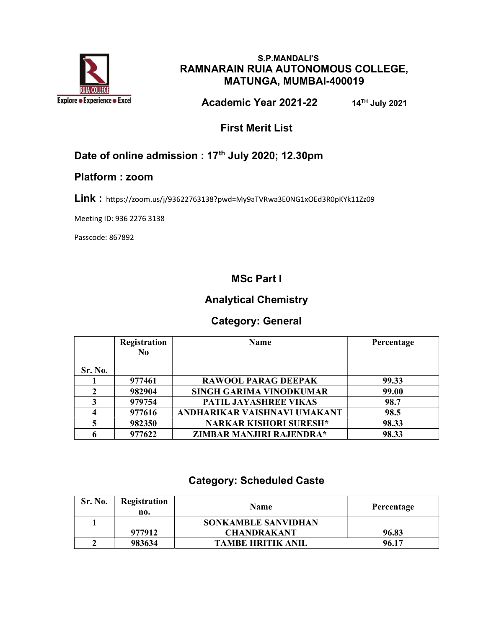

#### S.P.MANDALI'S RAMNARAIN RUIA AUTONOMOUS COLLEGE, MATUNGA, MUMBAI-400019

Academic Year 2021-22 14TH July 2021

First Merit List

### Date of online admission : 17<sup>th</sup> July 2020; 12.30pm

#### Platform : zoom

Link : https://zoom.us/j/93622763138?pwd=My9aTVRwa3E0NG1xOEd3R0pKYk11Zz09

Meeting ID: 936 2276 3138

Passcode: 867892

### MSc Part I

### Analytical Chemistry

#### Category: General

|         | Registration<br>N <sub>0</sub> | <b>Name</b>                    | Percentage |
|---------|--------------------------------|--------------------------------|------------|
| Sr. No. |                                |                                |            |
|         | 977461                         | <b>RAWOOL PARAG DEEPAK</b>     | 99.33      |
| 2       | 982904                         | <b>SINGH GARIMA VINODKUMAR</b> | 99.00      |
| 3       | 979754                         | PATIL JAYASHREE VIKAS          | 98.7       |
|         | 977616                         | ANDHARIKAR VAISHNAVI UMAKANT   | 98.5       |
|         | 982350                         | <b>NARKAR KISHORI SURESH*</b>  | 98.33      |
|         | 977622                         | ZIMBAR MANJIRI RAJENDRA*       | 98.33      |

#### Category: Scheduled Caste

| Sr. No. | Registration<br>no. | <b>Name</b>                | Percentage |
|---------|---------------------|----------------------------|------------|
|         |                     | <b>SONKAMBLE SANVIDHAN</b> |            |
|         | 977912              | <b>CHANDRAKANT</b>         | 96.83      |
|         | 983634              | <b>TAMBE HRITIK ANIL</b>   | 96.17      |